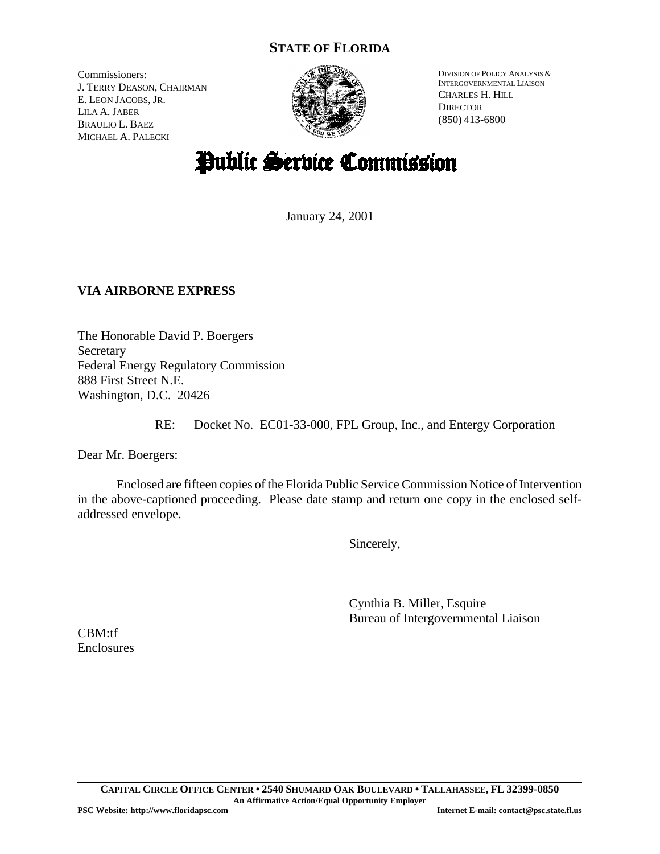## **STATE OF FLORIDA**

Commissioners: J. TERRY DEASON, CHAIRMAN E. LEON JACOBS, JR. LILA A. JABER BRAULIO L. BAEZ MICHAEL A. PALECKI



DIVISION OF POLICY ANALYSIS & INTERGOVERNMENTAL LIAISON CHARLES H. HILL **DIRECTOR** (850) 413-6800

# Public Service Commission

January 24, 2001

## **VIA AIRBORNE EXPRESS**

The Honorable David P. Boergers Secretary Federal Energy Regulatory Commission 888 First Street N.E. Washington, D.C. 20426

RE: Docket No. EC01-33-000, FPL Group, Inc., and Entergy Corporation

Dear Mr. Boergers:

Enclosed are fifteen copies of the Florida Public Service Commission Notice of Intervention in the above-captioned proceeding. Please date stamp and return one copy in the enclosed selfaddressed envelope.

Sincerely,

Cynthia B. Miller, Esquire Bureau of Intergovernmental Liaison

CBM:tf Enclosures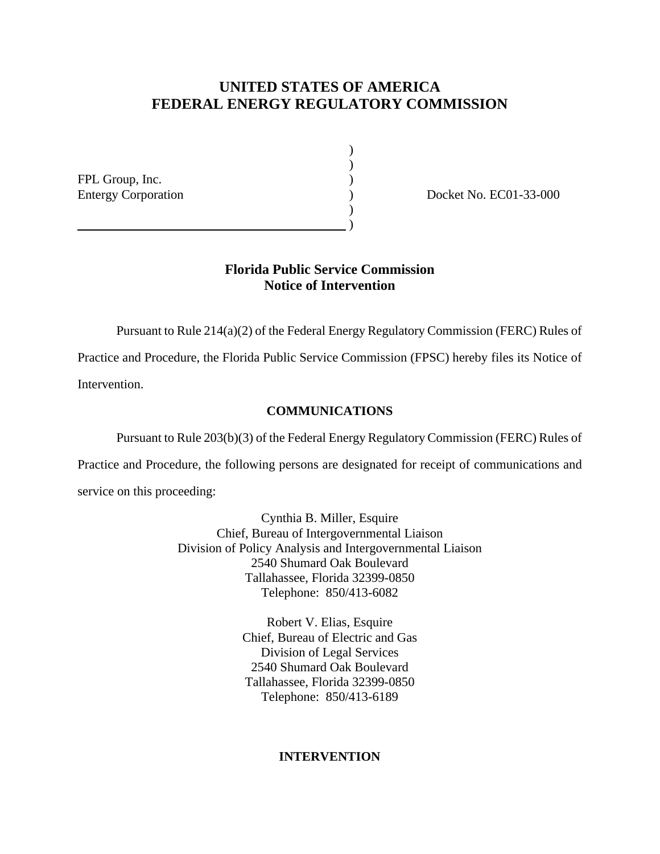## **UNITED STATES OF AMERICA FEDERAL ENERGY REGULATORY COMMISSION**

) )

)

FPL Group, Inc. (2008)

 $\hspace{1.5cm}$  ) and the contract of  $\hspace{1.5cm}$ 

Entergy Corporation (and Corporation and Corporation (b) and Docket No. EC01-33-000

### **Florida Public Service Commission Notice of Intervention**

Pursuant to Rule 214(a)(2) of the Federal Energy Regulatory Commission (FERC) Rules of

Practice and Procedure, the Florida Public Service Commission (FPSC) hereby files its Notice of Intervention.

#### **COMMUNICATIONS**

Pursuant to Rule 203(b)(3) of the Federal Energy Regulatory Commission (FERC) Rules of

Practice and Procedure, the following persons are designated for receipt of communications and service on this proceeding:

> Cynthia B. Miller, Esquire Chief, Bureau of Intergovernmental Liaison Division of Policy Analysis and Intergovernmental Liaison 2540 Shumard Oak Boulevard Tallahassee, Florida 32399-0850 Telephone: 850/413-6082

> > Robert V. Elias, Esquire Chief, Bureau of Electric and Gas Division of Legal Services 2540 Shumard Oak Boulevard Tallahassee, Florida 32399-0850 Telephone: 850/413-6189

#### **INTERVENTION**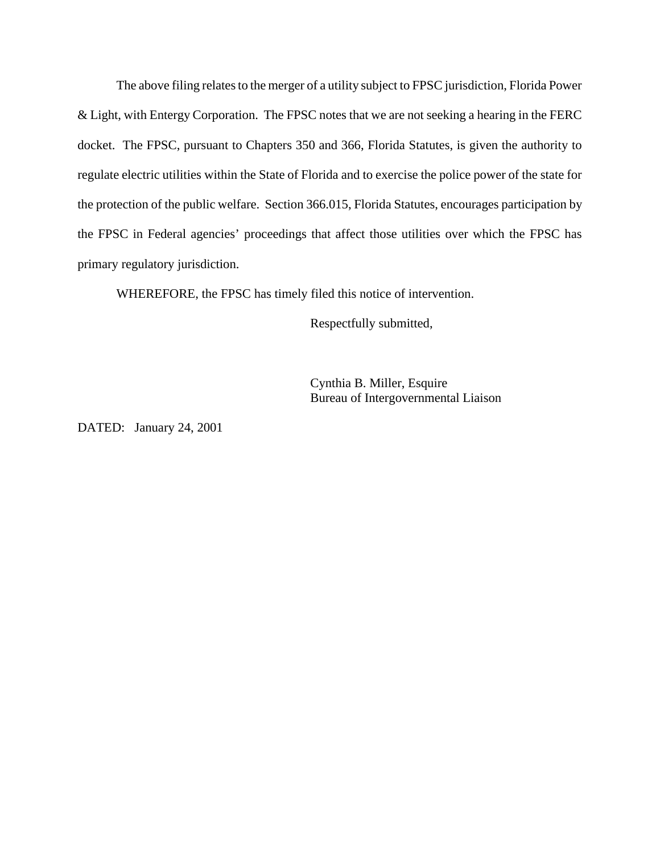The above filing relates to the merger of a utility subject to FPSC jurisdiction, Florida Power & Light, with Entergy Corporation. The FPSC notes that we are not seeking a hearing in the FERC docket. The FPSC, pursuant to Chapters 350 and 366, Florida Statutes, is given the authority to regulate electric utilities within the State of Florida and to exercise the police power of the state for the protection of the public welfare. Section 366.015, Florida Statutes, encourages participation by the FPSC in Federal agencies' proceedings that affect those utilities over which the FPSC has primary regulatory jurisdiction.

WHEREFORE, the FPSC has timely filed this notice of intervention.

Respectfully submitted,

Cynthia B. Miller, Esquire Bureau of Intergovernmental Liaison

DATED: January 24, 2001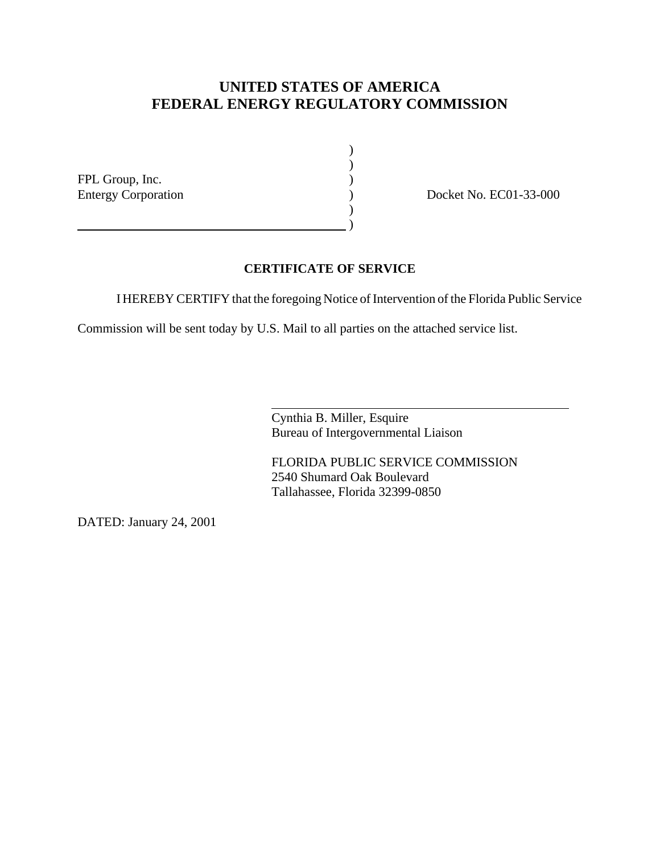# **UNITED STATES OF AMERICA FEDERAL ENERGY REGULATORY COMMISSION**

FPL Group, Inc. )

 $\hspace{1.5cm}$  ) and the contract of  $\hspace{1.5cm}$ 

Entergy Corporation (and a set of the Docket No. EC01-33-000)

#### **CERTIFICATE OF SERVICE**

I HEREBY CERTIFY that the foregoing Notice of Intervention of the Florida Public Service

) )

 $\lambda$ 

Commission will be sent today by U.S. Mail to all parties on the attached service list.

 $\overline{a}$ 

Cynthia B. Miller, Esquire Bureau of Intergovernmental Liaison

FLORIDA PUBLIC SERVICE COMMISSION 2540 Shumard Oak Boulevard Tallahassee, Florida 32399-0850

DATED: January 24, 2001